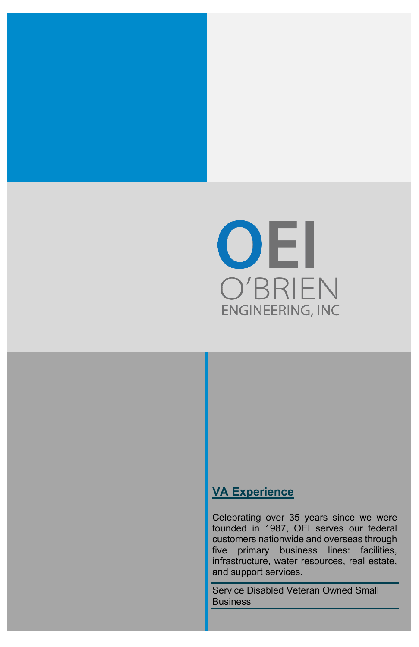

## **VA Experience**

Celebrating over 35 years since we were founded in 1987, OEI serves our federal customers nationwide and overseas through five primary business lines: facilities, infrastructure, water resources, real estate, and support services.

Service Disabled Veteran Owned Small Business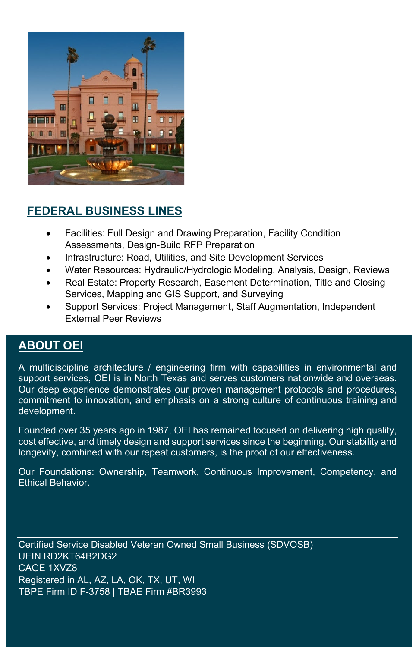

# **FEDERAL BUSINESS LINES**

- Facilities: Full Design and Drawing Preparation, Facility Condition Assessments, Design-Build RFP Preparation
- Infrastructure: Road, Utilities, and Site Development Services
- Water Resources: Hydraulic/Hydrologic Modeling, Analysis, Design, Reviews
- Real Estate: Property Research, Easement Determination, Title and Closing Services, Mapping and GIS Support, and Surveying
- Support Services: Project Management, Staff Augmentation, Independent External Peer Reviews

#### **ABOUT OEI**

A multidiscipline architecture / engineering firm with capabilities in environmental and support services, OEI is in North Texas and serves customers nationwide and overseas. Our deep experience demonstrates our proven management protocols and procedures, commitment to innovation, and emphasis on a strong culture of continuous training and development.

Founded over 35 years ago in 1987, OEI has remained focused on delivering high quality, cost effective, and timely design and support services since the beginning. Our stability and longevity, combined with our repeat customers, is the proof of our effectiveness.

Our Foundations: Ownership, Teamwork, Continuous Improvement, Competency, and Ethical Behavior.

Certified Service Disabled Veteran Owned Small Business (SDVOSB) UEIN RD2KT64B2DG2 CAGE 1XVZ8 Registered in AL, AZ, LA, OK, TX, UT, WI TBPE Firm ID F-3758 | TBAE Firm #BR3993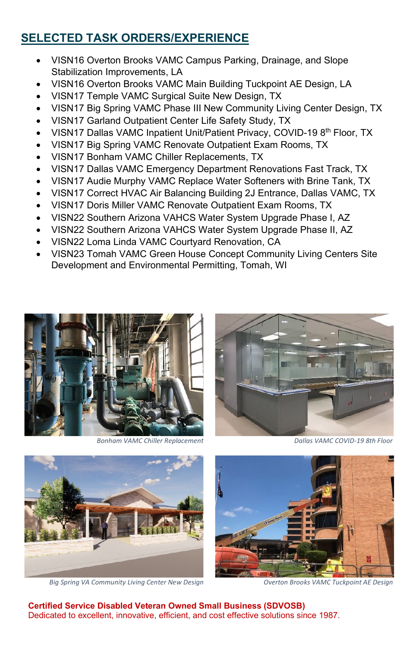### **SELECTED TASK ORDERS/EXPERIENCE**

- VISN16 Overton Brooks VAMC Campus Parking, Drainage, and Slope Stabilization Improvements, LA
- VISN16 Overton Brooks VAMC Main Building Tuckpoint AE Design, LA
- VISN17 Temple VAMC Surgical Suite New Design, TX
- VISN17 Big Spring VAMC Phase III New Community Living Center Design, TX
- VISN17 Garland Outpatient Center Life Safety Study, TX
- VISN17 Dallas VAMC Inpatient Unit/Patient Privacy, COVID-19 8<sup>th</sup> Floor, TX
- VISN17 Big Spring VAMC Renovate Outpatient Exam Rooms, TX
- VISN17 Bonham VAMC Chiller Replacements, TX
- VISN17 Dallas VAMC Emergency Department Renovations Fast Track, TX
- VISN17 Audie Murphy VAMC Replace Water Softeners with Brine Tank, TX
- VISN17 Correct HVAC Air Balancing Building 2J Entrance, Dallas VAMC, TX
- VISN17 Doris Miller VAMC Renovate Outpatient Exam Rooms, TX
- VISN22 Southern Arizona VAHCS Water System Upgrade Phase I, AZ
- VISN22 Southern Arizona VAHCS Water System Upgrade Phase II, AZ
- VISN22 Loma Linda VAMC Courtyard Renovation, CA
- VISN23 Tomah VAMC Green House Concept Community Living Centers Site Development and Environmental Permitting, Tomah, WI



*Bonham VAMC Chiller Replacement Dallas VAMC COVID-19 8th Floor*





*Big Spring VA Community Living Center New Design Overton Brooks VAMC Tuckpoint AE Design*



 **Certified Service Disabled Veteran Owned Small Business (SDVOSB)** Dedicated to excellent, innovative, efficient, and cost effective solutions since 1987.